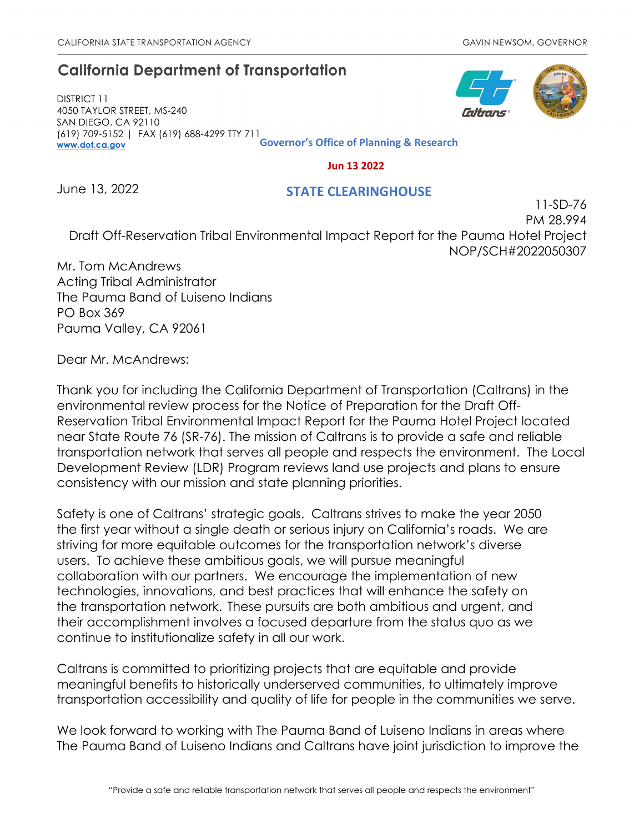# **California Department of Transportation**

DISTRICT 11 4050 TAYLOR STREET, MS-240 SAN DIEGO, CA 92110 (619) 709-5152 | FAX (619) 688-4299 TTY 711 **[www.dot.ca.gov](http://www.dot.ca.gov/) Governor's Office of Planning & Research**

 **Jun 13 2022**

June 13, 2022

### **STATE CLEARINGHOUSE**

11-SD-76 PM 28.994 Draft Off-Reservation Tribal Environmental Impact Report for the Pauma Hotel Project NOP/SCH#2022050307

Mr. Tom McAndrews Acting Tribal Administrator The Pauma Band of Luiseno Indians PO Box 369 Pauma Valley, CA 92061

Dear Mr. McAndrews:

Thank you for including the California Department of Transportation (Caltrans) in the environmental review process for the Notice of Preparation for the Draft Off-Reservation Tribal Environmental Impact Report for the Pauma Hotel Project located near State Route 76 (SR-76). The mission of Caltrans is to provide a safe and reliable transportation network that serves all people and respects the environment. The Local Development Review (LDR) Program reviews land use projects and plans to ensure consistency with our mission and state planning priorities.

Safety is one of Caltrans' strategic goals. Caltrans strives to make the year 2050 the first year without a single death or serious injury on California's roads. We are striving for more equitable outcomes for the transportation network's diverse users. To achieve these ambitious goals, we will pursue meaningful collaboration with our partners. We encourage the implementation of new technologies, innovations, and best practices that will enhance the safety on the transportation network. These pursuits are both ambitious and urgent, and their accomplishment involves a focused departure from the status quo as we continue to institutionalize safety in all our work.

Caltrans is committed to prioritizing projects that are equitable and provide meaningful benefits to historically underserved communities, to ultimately improve transportation accessibility and quality of life for people in the communities we serve.

We look forward to working with The Pauma Band of Luiseno Indians in areas where The Pauma Band of Luiseno Indians and Caltrans have joint jurisdiction to improve the

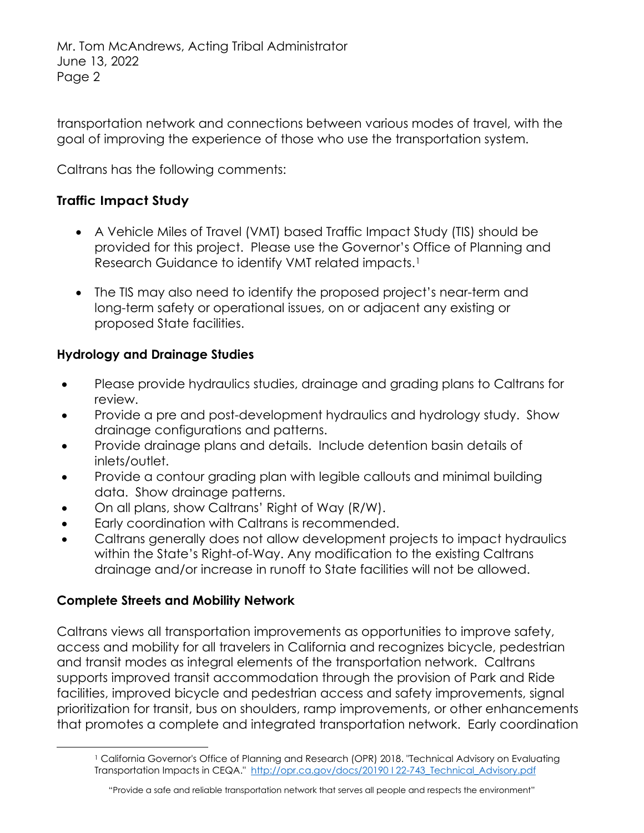transportation network and connections between various modes of travel, with the goal of improving the experience of those who use the transportation system.

Caltrans has the following comments:

# **Traffic Impact Study**

- A Vehicle Miles of Travel (VMT) based Traffic Impact Study (TIS) should be provided for this project. Please use the Governor's Office of Planning and Research Guidance to identify VMT related impacts.<sup>1</sup>
- The TIS may also need to identify the proposed project's near-term and long-term safety or operational issues, on or adjacent any existing or proposed State facilities.

# **Hydrology and Drainage Studies**

- Please provide hydraulics studies, drainage and grading plans to Caltrans for review.
- Provide a pre and post-development hydraulics and hydrology study. Show drainage configurations and patterns.
- Provide drainage plans and details. Include detention basin details of inlets/outlet.
- Provide a contour grading plan with legible callouts and minimal building data. Show drainage patterns.
- On all plans, show Caltrans' Right of Way (R/W).
- Early coordination with Caltrans is recommended.
- Caltrans generally does not allow development projects to impact hydraulics within the State's Right-of-Way. Any modification to the existing Caltrans drainage and/or increase in runoff to State facilities will not be allowed.

# **Complete Streets and Mobility Network**

Caltrans views all transportation improvements as opportunities to improve safety, access and mobility for all travelers in California and recognizes bicycle, pedestrian and transit modes as integral elements of the transportation network. Caltrans supports improved transit accommodation through the provision of Park and Ride facilities, improved bicycle and pedestrian access and safety improvements, signal prioritization for transit, bus on shoulders, ramp improvements, or other enhancements that promotes a complete and integrated transportation network. Early coordination

<span id="page-1-0"></span><sup>&</sup>lt;sup>1</sup> California Governor's Office of Planning and Research (OPR) 2018. "Technical Advisory on Evaluating Transportation Impacts in CEQA." http://opr.ca.gov/docs/20190122-743 Technical Advisory.pdf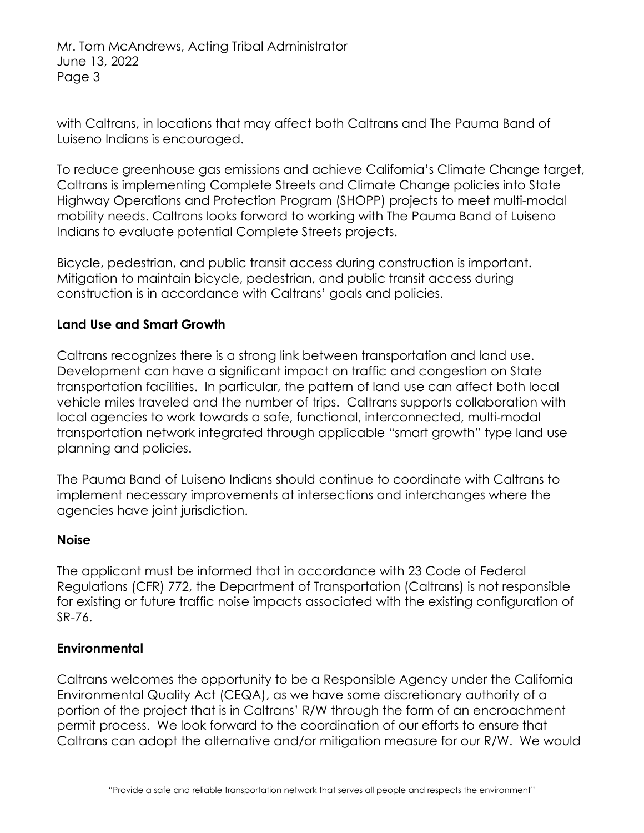Mr. Tom McAndrews, Acting Tribal Administrator June 13, 2022 Page 3

with Caltrans, in locations that may affect both Caltrans and The Pauma Band of Luiseno Indians is encouraged.

To reduce greenhouse gas emissions and achieve California's Climate Change target, Caltrans is implementing Complete Streets and Climate Change policies into State Highway Operations and Protection Program (SHOPP) projects to meet multi-modal mobility needs. Caltrans looks forward to working with The Pauma Band of Luiseno Indians to evaluate potential Complete Streets projects.

Bicycle, pedestrian, and public transit access during construction is important. Mitigation to maintain bicycle, pedestrian, and public transit access during construction is in accordance with Caltrans' goals and policies.

### **Land Use and Smart Growth**

Caltrans recognizes there is a strong link between transportation and land use. Development can have a significant impact on traffic and congestion on State transportation facilities. In particular, the pattern of land use can affect both local vehicle miles traveled and the number of trips. Caltrans supports collaboration with local agencies to work towards a safe, functional, interconnected, multi-modal transportation network integrated through applicable "smart growth" type land use planning and policies.

The Pauma Band of Luiseno Indians should continue to coordinate with Caltrans to implement necessary improvements at intersections and interchanges where the agencies have joint jurisdiction.

#### **Noise**

The applicant must be informed that in accordance with 23 Code of Federal Regulations (CFR) 772, the Department of Transportation (Caltrans) is not responsible for existing or future traffic noise impacts associated with the existing configuration of SR-76.

#### **Environmental**

Caltrans welcomes the opportunity to be a Responsible Agency under the California Environmental Quality Act (CEQA), as we have some discretionary authority of a portion of the project that is in Caltrans' R/W through the form of an encroachment permit process. We look forward to the coordination of our efforts to ensure that Caltrans can adopt the alternative and/or mitigation measure for our R/W. We would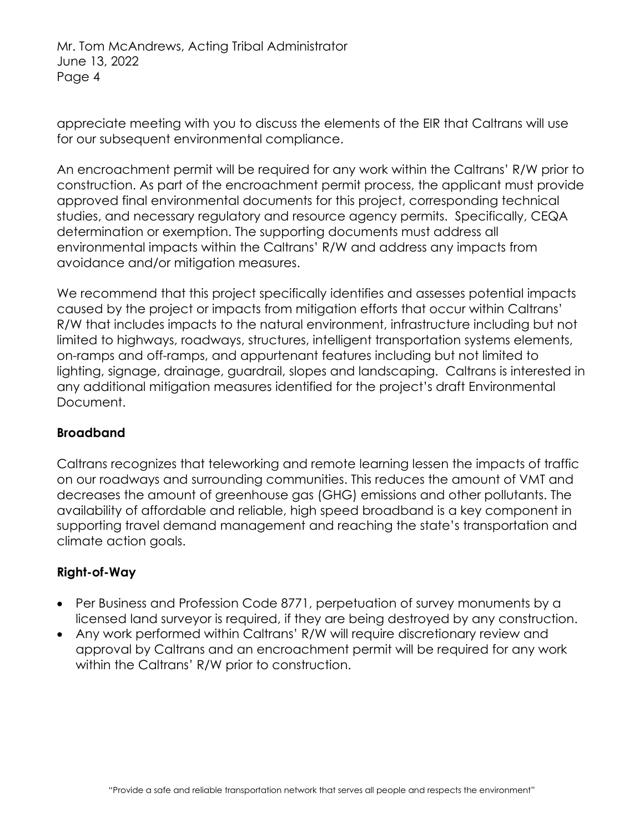Mr. Tom McAndrews, Acting Tribal Administrator June 13, 2022 Page 4

appreciate meeting with you to discuss the elements of the EIR that Caltrans will use for our subsequent environmental compliance.

An encroachment permit will be required for any work within the Caltrans' R/W prior to construction. As part of the encroachment permit process, the applicant must provide approved final environmental documents for this project, corresponding technical studies, and necessary regulatory and resource agency permits. Specifically, CEQA determination or exemption. The supporting documents must address all environmental impacts within the Caltrans' R/W and address any impacts from avoidance and/or mitigation measures.

We recommend that this project specifically identifies and assesses potential impacts caused by the project or impacts from mitigation efforts that occur within Caltrans' R/W that includes impacts to the natural environment, infrastructure including but not limited to highways, roadways, structures, intelligent transportation systems elements, on-ramps and off-ramps, and appurtenant features including but not limited to lighting, signage, drainage, guardrail, slopes and landscaping. Caltrans is interested in any additional mitigation measures identified for the project's draft Environmental Document.

# **Broadband**

Caltrans recognizes that teleworking and remote learning lessen the impacts of traffic on our roadways and surrounding communities. This reduces the amount of VMT and decreases the amount of greenhouse gas (GHG) emissions and other pollutants. The availability of affordable and reliable, high speed broadband is a key component in supporting travel demand management and reaching the state's transportation and climate action goals.

# **Right-of-Way**

- Per Business and Profession Code 8771, perpetuation of survey monuments by a licensed land surveyor is required, if they are being destroyed by any construction.
- Any work performed within Caltrans' R/W will require discretionary review and approval by Caltrans and an encroachment permit will be required for any work within the Caltrans' R/W prior to construction.